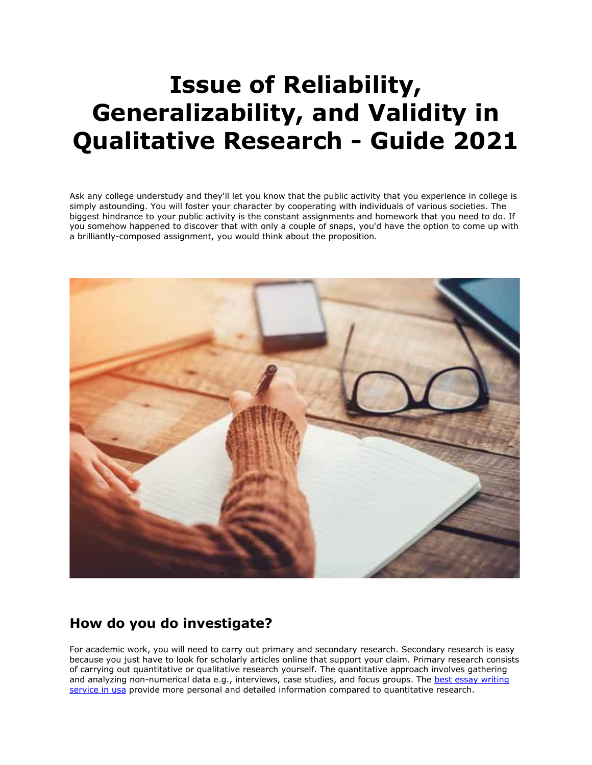# **Issue of Reliability, Generalizability, and Validity in Qualitative Research - Guide 2021**

Ask any college understudy and they'll let you know that the public activity that you experience in college is simply astounding. You will foster your character by cooperating with individuals of various societies. The biggest hindrance to your public activity is the constant assignments and homework that you need to do. If you somehow happened to discover that with only a couple of snaps, you'd have the option to come up with a brilliantly-composed assignment, you would think about the proposition.



## **How do you do investigate?**

For academic work, you will need to carry out primary and secondary research. Secondary research is easy because you just have to look for scholarly articles online that support your claim. Primary research consists of carrying out quantitative or qualitative research yourself. The quantitative approach involves gathering and analyzing non-numerical data e.g., interviews, case studies, and focus groups. The best essay writing [service in usa](https://essayhours.com/) provide more personal and detailed information compared to quantitative research.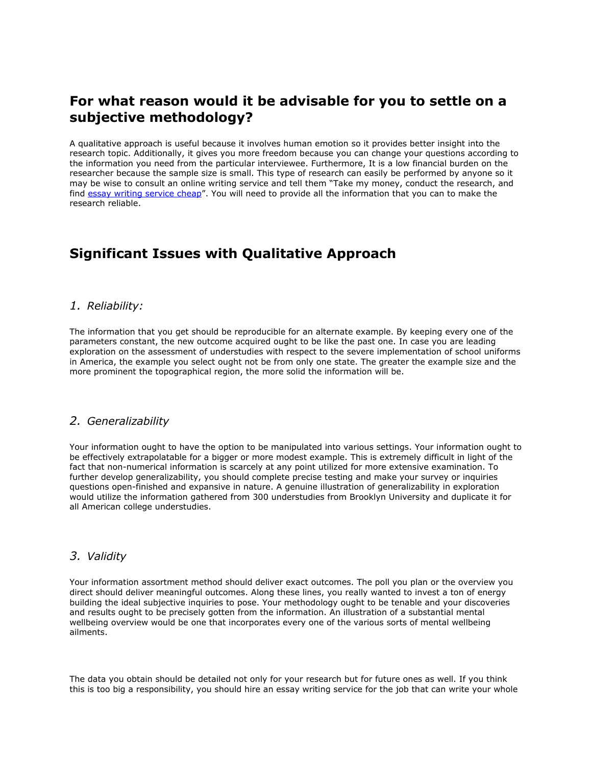### **For what reason would it be advisable for you to settle on a subjective methodology?**

A qualitative approach is useful because it involves human emotion so it provides better insight into the research topic. Additionally, it gives you more freedom because you can change your questions according to the information you need from the particular interviewee. Furthermore, It is a low financial burden on the researcher because the sample size is small. This type of research can easily be performed by anyone so it may be wise to consult an online writing service and tell them "Take my money, conduct the research, and find [essay writing service cheap](https://essayhours.com/)". You will need to provide all the information that you can to make the research reliable.

# **Significant Issues with Qualitative Approach**

#### *1. Reliability:*

The information that you get should be reproducible for an alternate example. By keeping every one of the parameters constant, the new outcome acquired ought to be like the past one. In case you are leading exploration on the assessment of understudies with respect to the severe implementation of school uniforms in America, the example you select ought not be from only one state. The greater the example size and the more prominent the topographical region, the more solid the information will be.

#### *2. Generalizability*

Your information ought to have the option to be manipulated into various settings. Your information ought to be effectively extrapolatable for a bigger or more modest example. This is extremely difficult in light of the fact that non-numerical information is scarcely at any point utilized for more extensive examination. To further develop generalizability, you should complete precise testing and make your survey or inquiries questions open-finished and expansive in nature. A genuine illustration of generalizability in exploration would utilize the information gathered from 300 understudies from Brooklyn University and duplicate it for all American college understudies.

#### *3. Validity*

Your information assortment method should deliver exact outcomes. The poll you plan or the overview you direct should deliver meaningful outcomes. Along these lines, you really wanted to invest a ton of energy building the ideal subjective inquiries to pose. Your methodology ought to be tenable and your discoveries and results ought to be precisely gotten from the information. An illustration of a substantial mental wellbeing overview would be one that incorporates every one of the various sorts of mental wellbeing ailments.

The data you obtain should be detailed not only for your research but for future ones as well. If you think this is too big a responsibility, you should hire an essay writing service for the job that can write your whole